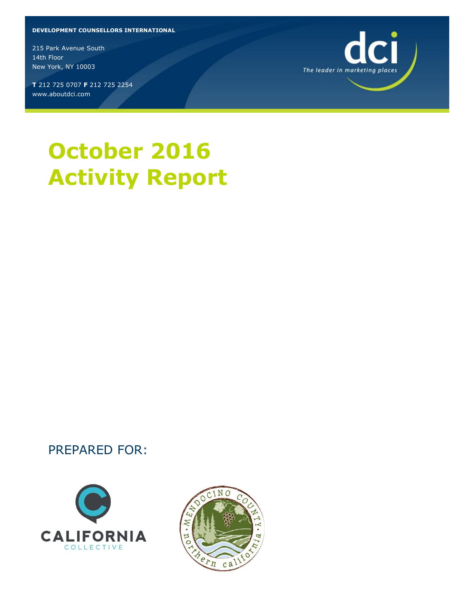#### **DEVELOPMENT COUNSELLORS INTERNATIONAL**

215 Park Avenue South 14th Floor New York, NY 10003

**T** 212 725 0707 **F** 212 725 2254 www.aboutdci.com



### PREPARED FOR:





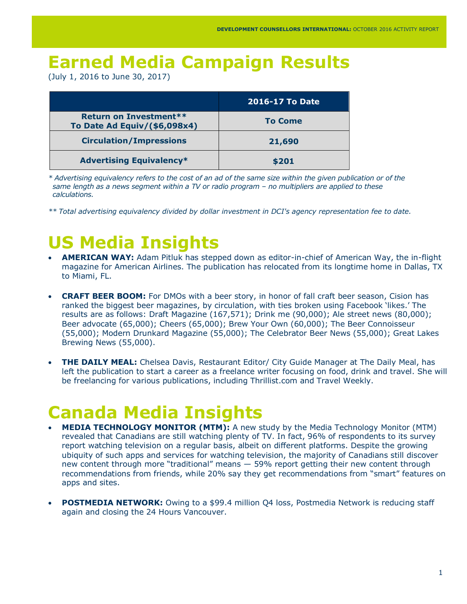## **Earned Media Campaign Results**

(July 1, 2016 to June 30, 2017)

|                                                        | <b>2016-17 To Date</b> |
|--------------------------------------------------------|------------------------|
| Return on Investment**<br>To Date Ad Equiv/(\$6,098x4) | <b>To Come</b>         |
| <b>Circulation/Impressions</b>                         | 21,690                 |
| <b>Advertising Equivalency*</b>                        | \$201                  |

*\* Advertising equivalency refers to the cost of an ad of the same size within the given publication or of the same length as a news segment within a TV or radio program – no multipliers are applied to these calculations.*

*\*\* Total advertising equivalency divided by dollar investment in DCI's agency representation fee to date.*

# **US Media Insights**

- **AMERICAN WAY:** Adam Pitluk has stepped down as editor-in-chief of American Way, the in-flight magazine for American Airlines. The publication has relocated from its longtime home in Dallas, TX to Miami, FL.
- **CRAFT BEER BOOM:** For DMOs with a beer story, in honor of fall craft beer season, Cision has ranked the biggest beer magazines, by circulation, with ties broken using Facebook 'likes.' The results are as follows: Draft Magazine (167,571); Drink me (90,000); Ale street news (80,000); Beer advocate (65,000); Cheers (65,000); Brew Your Own (60,000); The Beer Connoisseur (55,000); Modern Drunkard Magazine (55,000); The Celebrator Beer News (55,000); Great Lakes Brewing News (55,000).
- **THE DAILY MEAL:** Chelsea Davis, Restaurant Editor/ City Guide Manager at The Daily Meal, has left the publication to start a career as a freelance writer focusing on food, drink and travel. She will be freelancing for various publications, including Thrillist.com and Travel Weekly.

# **Canada Media Insights**

- **MEDIA TECHNOLOGY MONITOR (MTM):** A new study by the Media Technology Monitor (MTM) revealed that Canadians are still watching plenty of TV. In fact, 96% of respondents to its survey report watching television on a regular basis, albeit on different platforms. Despite the growing ubiquity of such apps and services for watching television, the majority of Canadians still discover new content through more "traditional" means — 59% report getting their new content through recommendations from friends, while 20% say they get recommendations from "smart" features on apps and sites.
- **POSTMEDIA NETWORK:** Owing to a \$99.4 million Q4 loss, Postmedia Network is reducing staff again and closing the 24 Hours Vancouver.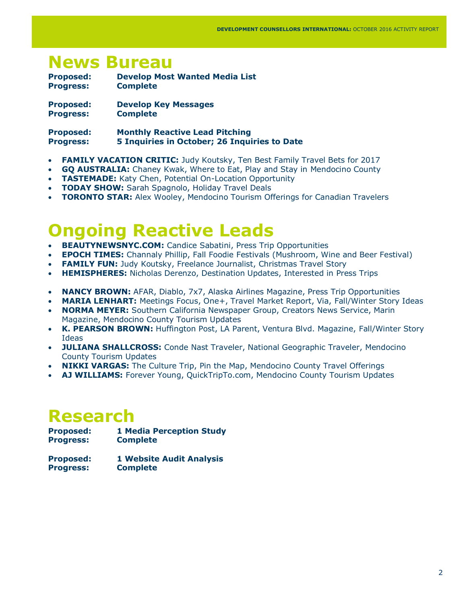### **News Bureau**

| <b>Proposed:</b> | <b>Develop Most Wanted Media List</b> |
|------------------|---------------------------------------|
| <b>Progress:</b> | <b>Complete</b>                       |
| <b>Proposed:</b> | <b>Develop Key Messages</b>           |

**Progress: Complete**

**Proposed: Monthly Reactive Lead Pitching Progress: 5 Inquiries in October; 26 Inquiries to Date** 

- **FAMILY VACATION CRITIC:** Judy Koutsky, Ten Best Family Travel Bets for 2017
- **GQ AUSTRALIA:** Chaney Kwak, Where to Eat, Play and Stay in Mendocino County
- **TASTEMADE:** Katy Chen, Potential On-Location Opportunity
- **TODAY SHOW:** Sarah Spagnolo, Holiday Travel Deals
- **TORONTO STAR:** Alex Wooley, Mendocino Tourism Offerings for Canadian Travelers

## **Ongoing Reactive Leads**

- **BEAUTYNEWSNYC.COM:** Candice Sabatini, Press Trip Opportunities
- **EPOCH TIMES:** Channaly Phillip, Fall Foodie Festivals (Mushroom, Wine and Beer Festival)
- **FAMILY FUN:** Judy Koutsky, Freelance Journalist, Christmas Travel Story
- **HEMISPHERES:** Nicholas Derenzo, Destination Updates, Interested in Press Trips
- **NANCY BROWN:** AFAR, Diablo, 7x7, Alaska Airlines Magazine, Press Trip Opportunities
- **MARIA LENHART:** Meetings Focus, One+, Travel Market Report, Via, Fall/Winter Story Ideas
- **NORMA MEYER:** Southern California Newspaper Group, Creators News Service, Marin Magazine, Mendocino County Tourism Updates
- **K. PEARSON BROWN:** Huffington Post, LA Parent, Ventura Blvd. Magazine, Fall/Winter Story Ideas
- **JULIANA SHALLCROSS:** Conde Nast Traveler, National Geographic Traveler, Mendocino County Tourism Updates
- **NIKKI VARGAS:** The Culture Trip, Pin the Map, Mendocino County Travel Offerings
- **AJ WILLIAMS:** Forever Young, QuickTripTo.com, Mendocino County Tourism Updates

## **Research**

**Proposed: 1 Media Perception Study Progress: Complete**

**Proposed: 1 Website Audit Analysis Progress: Complete**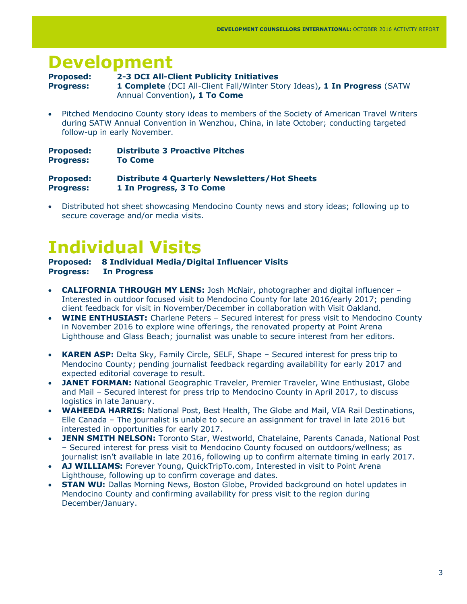## **Development**

#### **Proposed: 2-3 DCI All-Client Publicity Initiatives**

**Progress: 1 Complete** (DCI All-Client Fall/Winter Story Ideas)**, 1 In Progress** (SATW Annual Convention)**, 1 To Come** 

 Pitched Mendocino County story ideas to members of the Society of American Travel Writers during SATW Annual Convention in Wenzhou, China, in late October; conducting targeted follow-up in early November.

| <b>Proposed:</b> | <b>Distribute 3 Proactive Pitches</b>        |  |
|------------------|----------------------------------------------|--|
| <b>Progress:</b> | <b>To Come</b>                               |  |
| <b>Dueneerdi</b> | Distribute A Quarterly Neuralattare (Hat Cha |  |

**Proposed: Distribute 4 Quarterly Newsletters/Hot Sheets Progress: 1 In Progress, 3 To Come** 

 Distributed hot sheet showcasing Mendocino County news and story ideas; following up to secure coverage and/or media visits.

# **Individual Visits**

### **Proposed: 8 Individual Media/Digital Influencer Visits Progress: In Progress**

- **CALIFORNIA THROUGH MY LENS:** Josh McNair, photographer and digital influencer Interested in outdoor focused visit to Mendocino County for late 2016/early 2017; pending client feedback for visit in November/December in collaboration with Visit Oakland.
- **WINE ENTHUSIAST:** Charlene Peters Secured interest for press visit to Mendocino County in November 2016 to explore wine offerings, the renovated property at Point Arena Lighthouse and Glass Beach; journalist was unable to secure interest from her editors.
- **KAREN ASP:** Delta Sky, Family Circle, SELF, Shape Secured interest for press trip to Mendocino County; pending journalist feedback regarding availability for early 2017 and expected editorial coverage to result.
- **JANET FORMAN:** National Geographic Traveler, Premier Traveler, Wine Enthusiast, Globe and Mail – Secured interest for press trip to Mendocino County in April 2017, to discuss logistics in late January.
- **WAHEEDA HARRIS:** National Post, Best Health, The Globe and Mail, VIA Rail Destinations, Elle Canada – The journalist is unable to secure an assignment for travel in late 2016 but interested in opportunities for early 2017.
- **JENN SMITH NELSON:** Toronto Star, Westworld, Chatelaine, Parents Canada, National Post – Secured interest for press visit to Mendocino County focused on outdoors/wellness; as journalist isn't available in late 2016, following up to confirm alternate timing in early 2017.
- **AJ WILLIAMS:** Forever Young, QuickTripTo.com, Interested in visit to Point Arena Lighthouse, following up to confirm coverage and dates.
- **STAN WU:** Dallas Morning News, Boston Globe, Provided background on hotel updates in Mendocino County and confirming availability for press visit to the region during December/January.